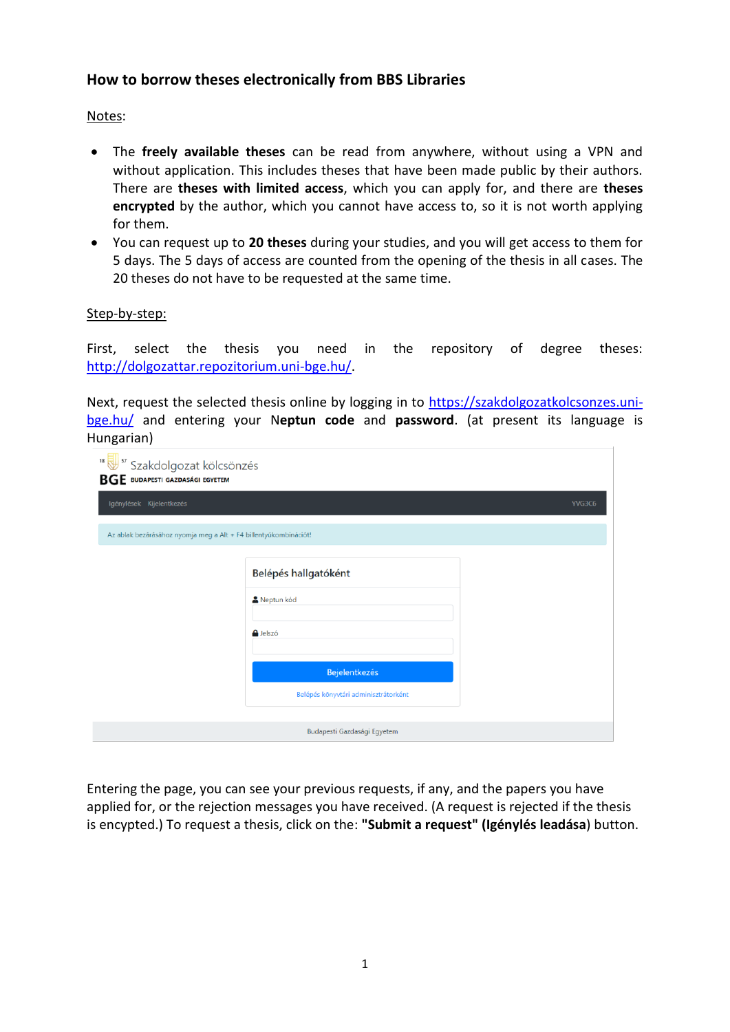# **How to borrow theses electronically from BBS Libraries**

## Notes:

- The **freely available theses** can be read from anywhere, without using a VPN and without application. This includes theses that have been made public by their authors. There are **theses with limited access**, which you can apply for, and there are **theses encrypted** by the author, which you cannot have access to, so it is not worth applying for them.
- You can request up to **20 theses** during your studies, and you will get access to them for 5 days. The 5 days of access are counted from the opening of the thesis in all cases. The 20 theses do not have to be requested at the same time.

### Step-by-step:

First, select the thesis you need in the repository of degree theses: [http://dolgozattar.repozitorium.uni-bge.hu/.](http://dolgozattar.repozitorium.uni-bge.hu/)

Next, request the selected thesis online by logging in to [https://szakdolgozatkolcsonzes.uni](https://szakdolgozatkolcsonzes.uni-bge.hu/)[bge.hu/](https://szakdolgozatkolcsonzes.uni-bge.hu/) and entering your N**eptun code** and **password**. (at present its language is Hungarian)

| <sup>18</sup> Szakdolgozat kölcsönzés<br><b>BGE</b> BUDAPESTI GAZDASÁGI EGYETEM |                                      |        |
|---------------------------------------------------------------------------------|--------------------------------------|--------|
| Igénylések Kijelentkezés                                                        |                                      | YVG3C6 |
| Az ablak bezárásához nyomja meg a Alt + F4 billentyűkombinációt!                |                                      |        |
|                                                                                 | Belépés hallgatóként                 |        |
|                                                                                 | Neptun kód                           |        |
|                                                                                 | e Jelszó                             |        |
|                                                                                 | <b>Bejelentkezés</b>                 |        |
|                                                                                 | Belépés könyvtári adminisztrátorként |        |
|                                                                                 | Budapesti Gazdasági Egyetem          |        |

Entering the page, you can see your previous requests, if any, and the papers you have applied for, or the rejection messages you have received. (A request is rejected if the thesis is encypted.) To request a thesis, click on the: **"Submit a request" (Igénylés leadása**) button.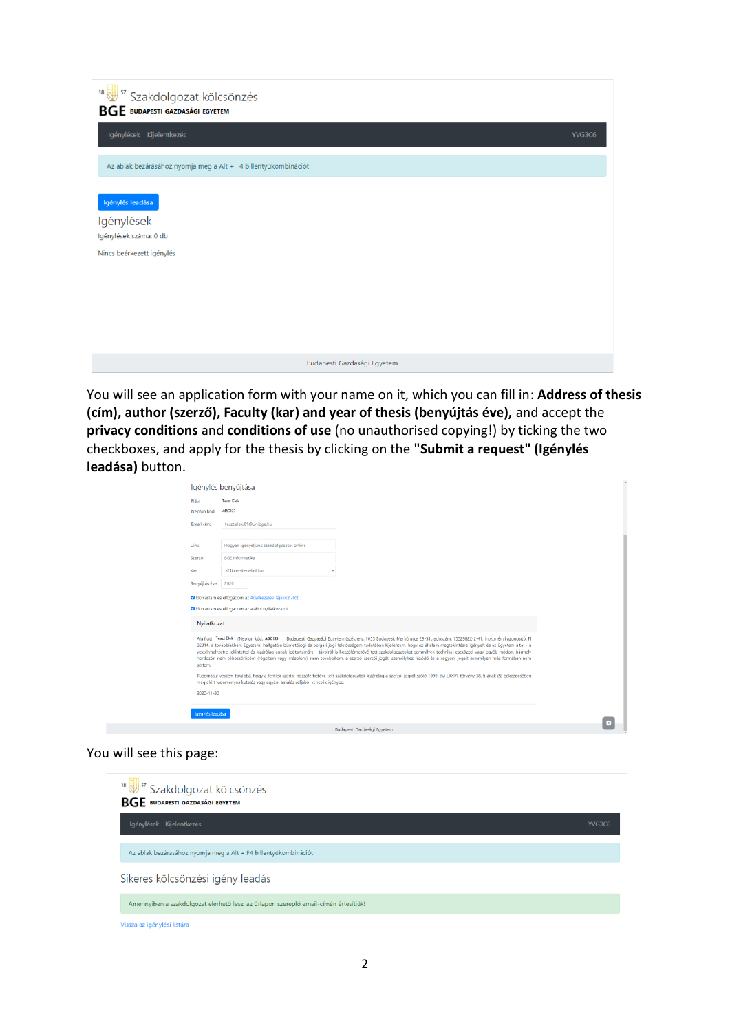| <sup>18</sup> Szakdolgozat kölcsönzés<br><b>BGE</b> BUDAPESTI GAZDASÁGI EGYETEM       |        |
|---------------------------------------------------------------------------------------|--------|
| Igénylések Kijelentkezés                                                              | YVG3C6 |
| Az ablak bezárásához nyomja meg a Alt + F4 billentyűkombinációt!                      |        |
| Igénylés leadása<br>Igénylések<br>Igénylések száma: 0 db<br>Nincs beérkezett igénylés |        |
| Budapesti Gazdasági Egyetem                                                           |        |

You will see an application form with your name on it, which you can fill in: **Address of thesis (cím), author (szerző), Faculty (kar) and year of thesis (benyújtás éve),** and accept the **privacy conditions** and **conditions of use** (no unauthorised copying!) by ticking the two checkboxes, and apply for the thesis by clicking on the **"Submit a request" (Igénylés leadása)** button.

| Név:           | <b>Teszt Elek</b>                                                                                                                                                                                                                                                                                                                                                                                                                                                                                                                                                                                                                                                                           |  |
|----------------|---------------------------------------------------------------------------------------------------------------------------------------------------------------------------------------------------------------------------------------------------------------------------------------------------------------------------------------------------------------------------------------------------------------------------------------------------------------------------------------------------------------------------------------------------------------------------------------------------------------------------------------------------------------------------------------------|--|
| Neptun kód:    | <b>ABC123</b>                                                                                                                                                                                                                                                                                                                                                                                                                                                                                                                                                                                                                                                                               |  |
| Email cím:     | teszt.elek.01@unibge.hu                                                                                                                                                                                                                                                                                                                                                                                                                                                                                                                                                                                                                                                                     |  |
| Címo           | Hogyan igényeljünk szakdolgozatot online                                                                                                                                                                                                                                                                                                                                                                                                                                                                                                                                                                                                                                                    |  |
| Szerző:        | <b>BGE</b> Informatika                                                                                                                                                                                                                                                                                                                                                                                                                                                                                                                                                                                                                                                                      |  |
| Kar:           | Külkereskedelmi kar                                                                                                                                                                                                                                                                                                                                                                                                                                                                                                                                                                                                                                                                         |  |
| Benyújtás éve: | 2020                                                                                                                                                                                                                                                                                                                                                                                                                                                                                                                                                                                                                                                                                        |  |
|                | ■ Elolvastam és elfogadom az Adatkezelési tájékoztatót<br>■ Elolvastam és elfogadom az alábbi nyilatkozatot.                                                                                                                                                                                                                                                                                                                                                                                                                                                                                                                                                                                |  |
| Nyilatkozat    |                                                                                                                                                                                                                                                                                                                                                                                                                                                                                                                                                                                                                                                                                             |  |
| sértem.        | Budapesti Gazdasági Egyetem (székhely: 1055 Budapest, Markó utca 29-31., adószám: 15329822-2-41, intézményi azonosító: FI<br>Alulírott Teszt Elek (Neptun kód: ABC123<br>82314, a továbbiakban: Egyetem) hallgatója büntetőjogi és polgári jogi felelősségem tudatában kijelentem, hogy az általam megtekintésre igényelt és az Egyetem által - a<br>veszélyhelyzetre tekintettel és kizárólag annak időtartamára - távolról is hozzáférhetővé tett szakdolgozatokat semmilyen technikai eszközzel vagy egyéb módon, bármely<br>hordozón nem többszörözöm (rögzítem vagy másolom), nem továbbítom, a szerző szerzői jogát, személyhez füződő és a vagyoni jogait semmilyen más formában nem |  |
|                | Tudomásul veszem továbbá, hogy a fentiek szerint hozzáférhetővé tett szakdolgozatok kizárólag a szerzői jogról szóló 1999. évi LXXVI. törvény 38. §-ának (5) bekezdésében<br>megjelőlt tudományos kutatás vagy egyéni tanulás céljából vehetők igénybe.                                                                                                                                                                                                                                                                                                                                                                                                                                     |  |

#### You will see this page:

| <sup>18</sup> Szakdolgozat kölcsönzés<br><b>BGE</b> BUDAPESTI GAZDASÁGI EGYETEM      |        |
|--------------------------------------------------------------------------------------|--------|
| Igénylések Kijelentkezés                                                             | YVG3C6 |
| Az ablak bezárásához nyomja meg a Alt + F4 billentyűkombinációt!                     |        |
| Sikeres kölcsönzési igény leadás                                                     |        |
| Amennyiben a szakdolgozat elérhető lesz, az űrlapon szereplő email-címén értesítjük! |        |
| Vissza az igénylési listára                                                          |        |